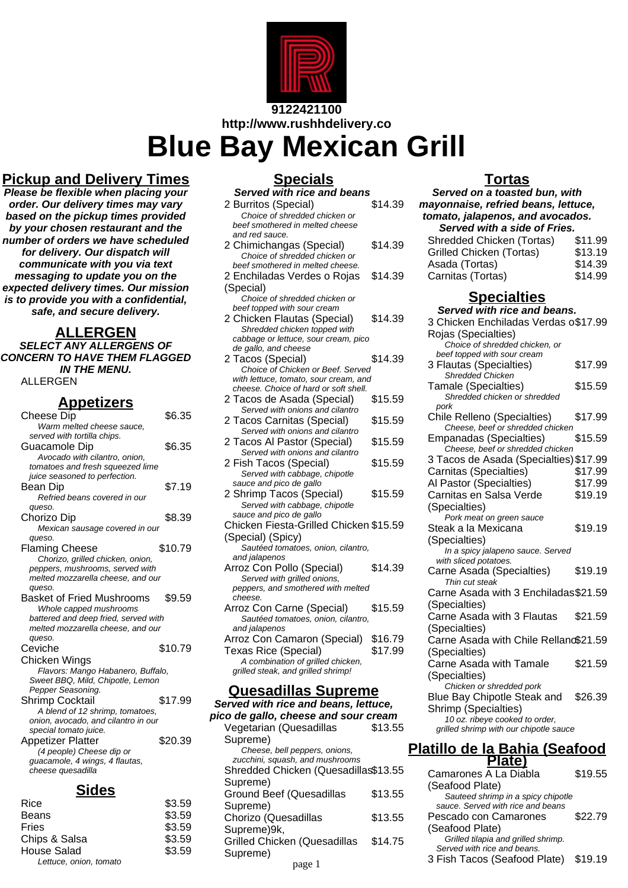

**9122421100 http://www.rushhdelivery.co**

# **Blue Bay Mexican Grill**

# **Pickup and Delivery Times**

**Please be flexible when placing your order. Our delivery times may vary based on the pickup times provided by your chosen restaurant and the number of orders we have scheduled for delivery. Our dispatch will communicate with you via text messaging to update you on the expected delivery times. Our mission is to provide you with a confidential, safe, and secure delivery.**

#### **ALLERGEN**

**SELECT ANY ALLERGENS OF CONCERN TO HAVE THEM FLAGGED IN THE MENU.** ALLERGEN

#### **Appetizers**

| Cheese Dip                           | \$6.35  |
|--------------------------------------|---------|
| Warm melted cheese sauce,            |         |
| served with tortilla chips.          |         |
| Guacamole Dip                        | \$6.35  |
| Avocado with cilantro, onion,        |         |
| tomatoes and fresh squeezed lime     |         |
| juice seasoned to perfection.        |         |
| Bean Dip                             | \$7.19  |
| Refried beans covered in our         |         |
| queso.                               |         |
| Chorizo Dip                          | \$8.39  |
| Mexican sausage covered in our       |         |
| queso.                               |         |
| <b>Flaming Cheese</b>                | \$10.79 |
| Chorizo, grilled chicken, onion,     |         |
| peppers, mushrooms, served with      |         |
| melted mozzarella cheese, and our    |         |
| queso.                               |         |
| Basket of Fried Mushrooms            | \$9.59  |
| Whole capped mushrooms               |         |
| battered and deep fried, served with |         |
| melted mozzarella cheese, and our    |         |
| queso.                               |         |
| Ceviche                              | \$10.79 |
| Chicken Wings                        |         |
| Flavors: Mango Habanero, Buffalo,    |         |
| Sweet BBQ, Mild, Chipotle, Lemon     |         |
| Pepper Seasoning.                    |         |
| <b>Shrimp Cocktail</b>               | \$17.99 |
| A blend of 12 shrimp, tomatoes,      |         |
| onion, avocado, and cilantro in our  |         |
| special tomato juice.                |         |
| <b>Appetizer Platter</b>             | \$20.39 |
| (4 people) Cheese dip or             |         |
| guacamole, 4 wings, 4 flautas,       |         |
|                                      |         |
| cheese quesadilla                    |         |

#### **Sides**

| Rice                   | \$3.59 |
|------------------------|--------|
| <b>Beans</b>           | \$3.59 |
| Fries                  | \$3.59 |
| Chips & Salsa          | \$3.59 |
| <b>House Salad</b>     | \$3.59 |
| Lettuce, onion, tomato |        |
|                        |        |

# **Specials**

| <u>υμσνιαι</u>                         |         |
|----------------------------------------|---------|
| Served with rice and beans             |         |
| 2 Burritos (Special)                   | \$14.39 |
| Choice of shredded chicken or          |         |
| beef smothered in melted cheese        |         |
| and red sauce.                         |         |
| 2 Chimichangas (Special)               | \$14.39 |
| Choice of shredded chicken or          |         |
|                                        |         |
| beef smothered in melted cheese.       |         |
| 2 Enchiladas Verdes o Rojas            | \$14.39 |
| (Special)                              |         |
| Choice of shredded chicken or          |         |
| beef topped with sour cream            |         |
| 2 Chicken Flautas (Special)            | \$14.39 |
| Shredded chicken topped with           |         |
| cabbage or lettuce, sour cream, pico   |         |
| de gallo, and cheese                   |         |
|                                        | \$14.39 |
| 2 Tacos (Special)                      |         |
| Choice of Chicken or Beef. Served      |         |
| with lettuce, tomato, sour cream, and  |         |
| cheese. Choice of hard or soft shell.  |         |
| 2 Tacos de Asada (Special)             | \$15.59 |
| Served with onions and cilantro        |         |
| 2 Tacos Carnitas (Special)             | \$15.59 |
| Served with onions and cilantro        |         |
| 2 Tacos Al Pastor (Special)            | \$15.59 |
| Served with onions and cilantro        |         |
|                                        |         |
| 2 Fish Tacos (Special)                 | \$15.59 |
| Served with cabbage, chipotle          |         |
| sauce and pico de gallo                |         |
| 2 Shrimp Tacos (Special)               | \$15.59 |
| Served with cabbage, chipotle          |         |
| sauce and pico de gallo                |         |
| Chicken Fiesta-Grilled Chicken \$15.59 |         |
| (Special) (Spicy)                      |         |
| Sautéed tomatoes, onion, cilantro,     |         |
| and jalapenos                          |         |
| Arroz Con Pollo (Special)              | \$14.39 |
|                                        |         |
| Served with grilled onions,            |         |
| peppers, and smothered with melted     |         |
| cheese.                                |         |
| Arroz Con Carne (Special)              | \$15.59 |
| Sautéed tomatoes, onion, cilantro,     |         |
| and jalapenos                          |         |
| Arroz Con Camaron (Special)            | \$16.79 |
| Texas Rice (Special)                   | \$17.99 |
| A combination of grilled chicken,      |         |
| grilled steak, and grilled shrimp!     |         |
|                                        |         |
| Quesadillas Supreme                    |         |

**Served with rice and beans, lettuce, pico de gallo, cheese and sour cream** Vegetarian (Quesadillas Supreme) \$13.55 Cheese, bell peppers, onions, zucchini, squash, and mushrooms Shredded Chicken (Quesadillas \$13.55 Supreme) Ground Beef (Quesadillas Supreme) \$13.55 Chorizo (Quesadillas Supreme)9k, \$13.55 Grilled Chicken (Quesadillas Supreme) \$14.75

## **Tortas**

**Served on a toasted bun, with mayonnaise, refried beans, lettuce, tomato, jalapenos, and avocados. Served with a side of Fries.**<br>Indeed Chicken (Tortas) \$11.99 Shredded Chicken (Tortas) \$11.99<br>Grilled Chicken (Tortas) \$13.19 Grilled Chicken (Tortas) \$13.19<br>Asada (Tortas) \$14.39 Asada (Tortas) \$14.39<br>Carnitas (Tortas) \$14.99 Carnitas (Tortas)

## **Specialties**

| Served with rice and beans.                                     |         |
|-----------------------------------------------------------------|---------|
| 3 Chicken Enchiladas Verdas o\$17.99                            |         |
| Rojas (Specialties)                                             |         |
| Choice of shredded chicken, or                                  |         |
| beef topped with sour cream                                     |         |
| 3 Flautas (Specialties)                                         | \$17.99 |
| <b>Shredded Chicken</b>                                         |         |
| <b>Tamale (Specialties)</b>                                     | \$15.59 |
| Shredded chicken or shredded                                    |         |
| pork                                                            |         |
| Chile Relleno (Specialties)<br>Cheese, beef or shredded chicken | \$17.99 |
| Empanadas (Specialties)                                         | \$15.59 |
| Cheese, beef or shredded chicken                                |         |
| 3 Tacos de Asada (Specialties) \$17.99                          |         |
| Carnitas (Specialties)                                          | \$17.99 |
| Al Pastor (Specialties)                                         | \$17.99 |
| Carnitas en Salsa Verde                                         | \$19.19 |
|                                                                 |         |
| (Specialties)                                                   |         |
| Pork meat on green sauce                                        |         |
| Steak a la Mexicana                                             | \$19.19 |
| (Specialties)                                                   |         |
| In a spicy jalapeno sauce. Served<br>with sliced potatoes.      |         |
| Carne Asada (Specialties)                                       | \$19.19 |
| Thin cut steak                                                  |         |
| Carne Asada with 3 Enchiladas\$21.59                            |         |
| (Specialties)                                                   |         |
| Carne Asada with 3 Flautas                                      | \$21.59 |
| (Specialties)                                                   |         |
| Carne Asada with Chile Rellanc\$21.59                           |         |
| (Specialties)                                                   |         |
| Carne Asada with Tamale                                         | \$21.59 |
| (Specialties)                                                   |         |
| Chicken or shredded pork                                        |         |
| Blue Bay Chipotle Steak and                                     | \$26.39 |
| Shrimp (Specialties)                                            |         |
| 10 oz. ribeye cooked to order,                                  |         |
| grilled shrimp with our chipotle sauce                          |         |
| .<br>.<br>. <b>. .</b> . <i>. .</i> .                           |         |

#### **Platillo de la Bahia (Seafood Plate)**

| ken (Quesadillas\$13.55: |         | Camarones A La Diabla                                                                      | \$19.55 |
|--------------------------|---------|--------------------------------------------------------------------------------------------|---------|
| Quesadillas              | \$13.55 | (Seafood Plate)<br>Sauteed shrimp in a spicy chipotle<br>sauce. Served with rice and beans |         |
| adillas                  | \$13.55 | Pescado con Camarones                                                                      | \$22.79 |
| า (Quesadillas           | \$14.75 | (Seafood Plate)<br>Grilled tilapia and grilled shrimp.<br>Served with rice and beans.      |         |
| page 1                   |         | 3 Fish Tacos (Seafood Plate)                                                               | \$19.19 |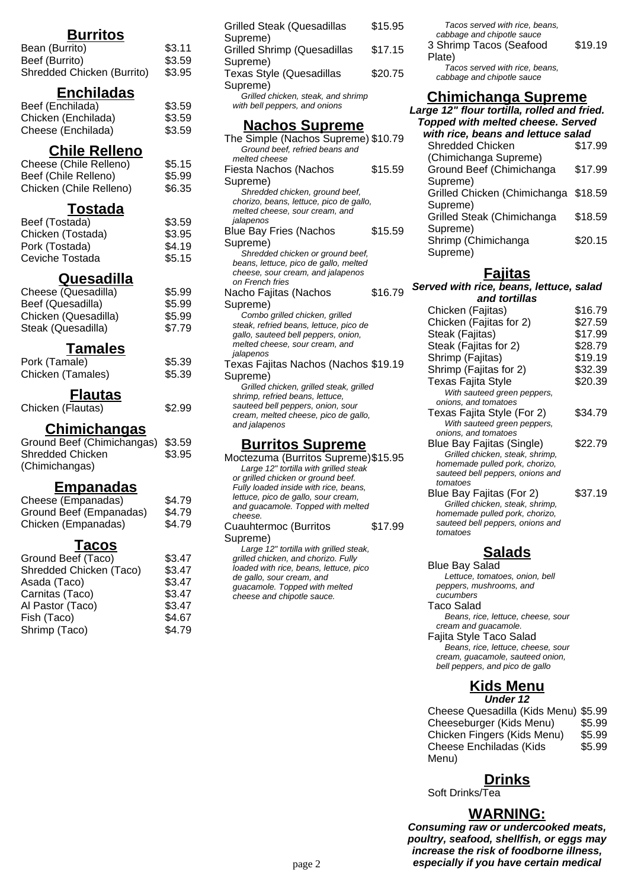## **Burritos**

| Bean (Burrito)             | \$3.11 |
|----------------------------|--------|
| Beef (Burrito)             | \$3.59 |
| Shredded Chicken (Burrito) | \$3.95 |

#### **Enchiladas**

| Beef (Enchilada)    | \$3.59 |
|---------------------|--------|
| Chicken (Enchilada) | \$3.59 |
| Cheese (Enchilada)  | \$3.59 |

#### **Chile Relleno**

| Cheese (Chile Relleno)  | \$5.15 |
|-------------------------|--------|
| Beef (Chile Relleno)    | \$5.99 |
| Chicken (Chile Relleno) | \$6.35 |

### **Tostada**

| Beef (Tostada)    | \$3.59 |
|-------------------|--------|
| Chicken (Tostada) | \$3.95 |
| Pork (Tostada)    | \$4.19 |
| Ceviche Tostada   | \$5.15 |

#### **Quesadilla**

| Cheese (Quesadilla)  | \$5.99 |
|----------------------|--------|
| Beef (Quesadilla)    | \$5.99 |
| Chicken (Quesadilla) | \$5.99 |
| Steak (Quesadilla)   | \$7.79 |

#### **Tamales**

| Pork (Tamale)     | \$5.39 |
|-------------------|--------|
| Chicken (Tamales) | \$5.39 |

## **Flautas**

| Chicken (Flautas) | \$2.99 |
|-------------------|--------|
|-------------------|--------|

#### **Chimichangas**

Ground Beef (Chimichangas) \$3.59 Shredded Chicken (Chimichangas) \$3.95

#### **Empanadas**

| Cheese (Empanadas)      | \$4.79 |
|-------------------------|--------|
| Ground Beef (Empanadas) | \$4.79 |
| Chicken (Empanadas)     | \$4.79 |

## **Tacos**

| Ground Beef (Taco)      | \$3.47 |
|-------------------------|--------|
| Shredded Chicken (Taco) | \$3.47 |
| Asada (Taco)            | \$3.47 |
| Carnitas (Taco)         | \$3.47 |
| Al Pastor (Taco)        | \$3.47 |
| Fish (Taco)             | \$4.67 |
| Shrimp (Taco)           | \$4.79 |
|                         |        |

| <b>Grilled Steak (Quesadillas</b>                                         | \$15.95 |  |
|---------------------------------------------------------------------------|---------|--|
| Supreme)<br><b>Grilled Shrimp (Quesadillas</b>                            | \$17.15 |  |
| Supreme)                                                                  |         |  |
| Texas Style (Quesadillas                                                  | \$20.75 |  |
| Supreme)<br>Grilled chicken, steak, and shrimp                            |         |  |
| with bell peppers, and onions                                             |         |  |
| <b>Nachos Supreme</b>                                                     |         |  |
| The Simple (Nachos Supreme) \$10.79                                       |         |  |
| Ground beef, refried beans and                                            |         |  |
| melted cheese                                                             |         |  |
| Fiesta Nachos (Nachos                                                     | \$15.59 |  |
| Supreme)                                                                  |         |  |
| Shredded chicken, ground beef,<br>chorizo, beans, lettuce, pico de gallo, |         |  |
| melted cheese, sour cream, and                                            |         |  |
| jalapenos                                                                 |         |  |
| <b>Blue Bay Fries (Nachos</b>                                             | \$15.59 |  |
| Supreme)                                                                  |         |  |
| Shredded chicken or ground beef,                                          |         |  |
| beans, lettuce, pico de gallo, melted                                     |         |  |
| cheese, sour cream, and jalapenos<br>on French fries                      |         |  |
| Nacho Fajitas (Nachos                                                     | \$16.79 |  |
| Supreme)                                                                  |         |  |
| Combo grilled chicken, grilled                                            |         |  |
| steak, refried beans, lettuce, pico de                                    |         |  |
| gallo, sauteed bell peppers, onion,                                       |         |  |
| melted cheese, sour cream, and                                            |         |  |
| jalapenos<br>Texas Fajitas Nachos (Nachos \$19.19                         |         |  |
|                                                                           |         |  |
| Supreme)<br>Grilled chicken, grilled steak, grilled                       |         |  |
| shrimp, refried beans, lettuce,                                           |         |  |
| sauteed bell peppers, onion, sour                                         |         |  |
| cream, melted cheese, pico de gallo,                                      |         |  |
| and jalapenos                                                             |         |  |

#### **Burritos Supreme**

Moctezuma (Burritos Supreme)\$15.95 Large 12" tortilla with grilled steak or grilled chicken or ground beef. Fully loaded inside with rice, beans, lettuce, pico de gallo, sour cream, and guacamole. Topped with melted cheese. Cuauhtermoc (Burritos \$17.99

Supreme) Large 12" tortilla with grilled steak, grilled chicken, and chorizo. Fully loaded with rice, beans, lettuce, pico de gallo, sour cream, and guacamole. Topped with melted cheese and chipotle sauce.

| Tacos served with rice, beans,<br>cabbage and chipotle sauce<br>3 Shrimp Tacos (Seafood | \$19.19 |
|-----------------------------------------------------------------------------------------|---------|
| Plate)                                                                                  |         |
| Tacos served with rice, beans,<br>cabbage and chipotle sauce                            |         |

## **Chimichanga Supreme**

| Large 12" flour tortilla, rolled and fried.<br><b>Topped with melted cheese. Served</b> |  |  |
|-----------------------------------------------------------------------------------------|--|--|
| with rice, beans and lettuce salad                                                      |  |  |
| \$17.99                                                                                 |  |  |
|                                                                                         |  |  |
| \$17.99                                                                                 |  |  |
|                                                                                         |  |  |
| Grilled Chicken (Chimichanga \$18.59                                                    |  |  |
|                                                                                         |  |  |
| \$18.59                                                                                 |  |  |
|                                                                                         |  |  |
| \$20.15                                                                                 |  |  |
|                                                                                         |  |  |
|                                                                                         |  |  |

## **Fajitas**

**Served with rice, beans, lettuce, salad and tortillas**

| נווט נטו נוווט                   |         |
|----------------------------------|---------|
| Chicken (Fajitas)                | \$16.79 |
| Chicken (Fajitas for 2)          | \$27.59 |
| Steak (Fajitas)                  | \$17.99 |
| Steak (Fajitas for 2)            | \$28.79 |
| Shrimp (Fajitas)                 | \$19.19 |
| Shrimp (Fajitas for 2)           | \$32.39 |
| <b>Texas Fajita Style</b>        | \$20.39 |
| With sauteed green peppers,      |         |
| onions, and tomatoes             |         |
| Texas Fajita Style (For 2)       | \$34.79 |
| With sauteed green peppers,      |         |
| onions, and tomatoes             |         |
| Blue Bay Fajitas (Single)        | \$22.79 |
| Grilled chicken, steak, shrimp,  |         |
| homemade pulled pork, chorizo,   |         |
| sauteed bell peppers, onions and |         |
| tomatoes                         |         |
| Blue Bay Fajitas (For 2)         | \$37.19 |
| Grilled chicken, steak, shrimp,  |         |
| homemade pulled pork, chorizo,   |         |
| sauteed bell peppers, onions and |         |
| tomatoes                         |         |
|                                  |         |

## **Salads**

Blue Bay Salad Lettuce, tomatoes, onion, bell peppers, mushrooms, and cucumbers Taco Salad Beans, rice, lettuce, cheese, sour cream and guacamole. Fajita Style Taco Salad Beans, rice, lettuce, cheese, sour cream, guacamole, sauteed onion,

bell peppers, and pico de gallo

#### **Kids Menu Under 12**

Cheese Quesadilla (Kids Menu) \$5.99 Cheeseburger (Kids Menu) \$5.99 Chicken Fingers (Kids Menu) \$5.99 Cheese Enchiladas (Kids Menu) \$5.99

**Drinks**

Soft Drinks/Tea

#### **WARNING:**

**Consuming raw or undercooked meats, poultry, seafood, shellfish, or eggs may increase the risk of foodborne illness,** page 2 **especially if you have certain medical**